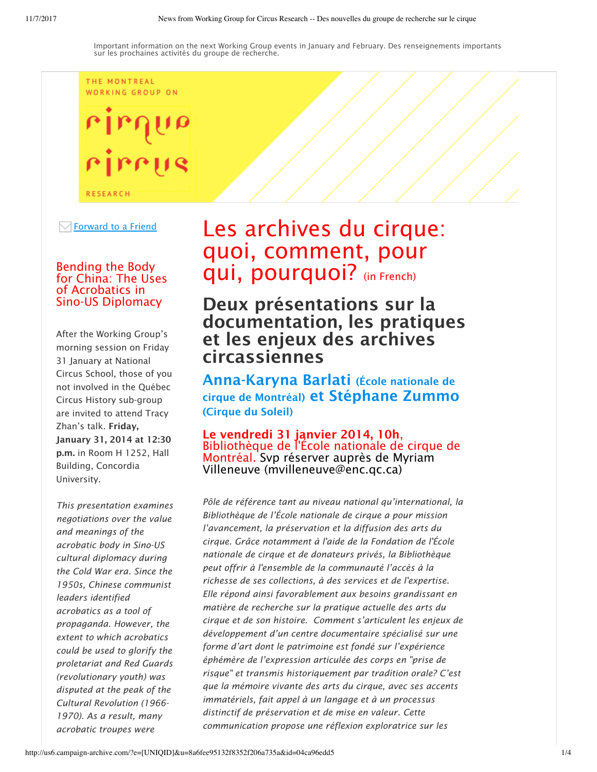THE MONTREAL WORKING GROUP ON

rirr **RESEARCH** 

Forward to a Friend

# Bending the Body for China: The Uses of Acrobatics in Sino-US Diplomacy

After the Working Group's morning session on Friday 31 January at National Circus School, those of you not involved in the Québec Circus History sub-group are invited to attend Tracy Zhan's talk. Friday, January 31, 2014 at 12:30 p.m. in Room H 1252, Hall Building, Concordia University.

*This presentation examines negotiations over the value and meanings of the acrobatic body in Sino-US cultural diplomacy during the Cold War era. Since the 1950s, Chinese communist leaders identified acrobatics as a tool of propaganda. However, the extent to which acrobatics could be used to glorify the proletariat and Red Guards (revolutionary youth) was disputed at the peak of the Cultural Revolution (1966- 1970). As a result, many acrobatic troupes were*

# Les archives du cirque: quoi, comment, pour qui, pourquoi? (in French)

Deux présentations sur la documentation, les pratiques et les enjeux des archives circassiennes

Anna-Karyna Barlati (École nationale de cirque de Montréal) et Stéphane Zummo (Cirque du Soleil)

Le vendredi 31 janvier 2014, 10h,<br>Bibliothèque de l'École nationale de cirque de Montréal. Svp réserver auprès de Myriam Villeneuve (mvilleneuve@enc.qc.ca)

*Pôle de référence tant au niveau national qu'international, la Bibliothèque de l'École nationale de cirque a pour mission l'avancement, la préservation et la diffusion des arts du cirque. Grâce notamment à l'aide de la Fondation de l'École nationale de cirque et de donateurs privés, la Bibliothèque peut offrir à l'ensemble de la communauté l'accès à la richesse de ses collections, à des services et de l'expertise. Elle répond ainsi favorablement aux besoins grandissant en matière de recherche sur la pratique actuelle des arts du cirque et de son histoire. Comment s'articulent les enjeux de développement d'un centre documentaire spécialisé sur une forme d'art dont le patrimoine est fondé sur l'expérience éphémère de l'expression articulée des corps en "prise de risque" et transmis historiquement par tradition orale? C'est que la mémoire vivante des arts du cirque, avec ses accents immatériels, fait appel à un langage et à un processus distinctif de préservation et de mise en valeur. Cette communication propose une réflexion exploratrice sur les*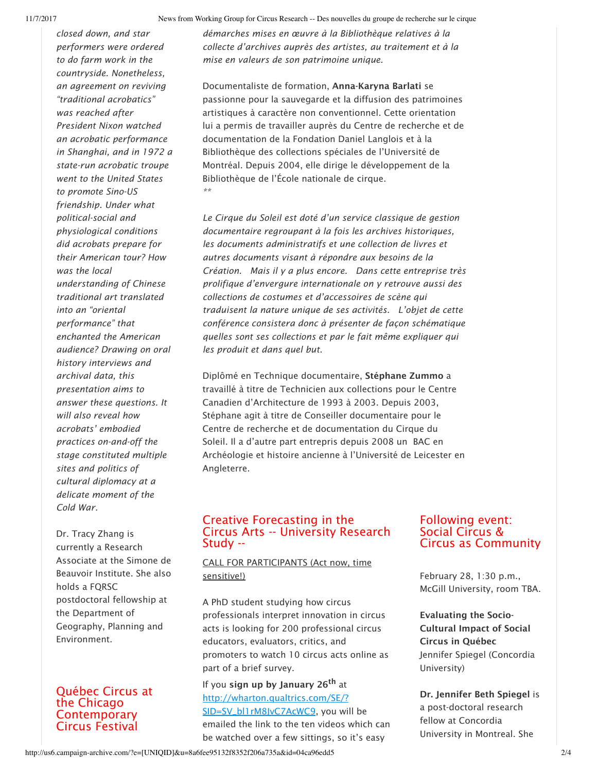*closed down, and star performers were ordered to do farm work in the countryside. Nonetheless, an agreement on reviving "traditional acrobatics" was reached after President Nixon watched an acrobatic performance in Shanghai, and in 1972 a state-run acrobatic troupe went to the United States to promote Sino-US friendship. Under what political-social and physiological conditions did acrobats prepare for their American tour? How was the local understanding of Chinese traditional art translated into an "oriental performance" that enchanted the American audience? Drawing on oral history interviews and archival data, this presentation aims to answer these questions. It will also reveal how acrobats' embodied practices on-and-off the stage constituted multiple sites and politics of cultural diplomacy at a delicate moment of the Cold War.* 

Dr. Tracy Zhang is currently a Research Associate at the Simone de Beauvoir Institute. She also holds a FQRSC postdoctoral fellowship at the Department of Geography, Planning and Environment.

## Québec Circus at the Chicago **Contemporary** Circus Festival

*démarches mises en œuvre à la Bibliothèque relatives à la collecte d'archives auprès des artistes, au traitement et à la mise en valeurs de son patrimoine unique.*

Documentaliste de formation, Anna-Karyna Barlati se passionne pour la sauvegarde et la diffusion des patrimoines artistiques à caractère non conventionnel. Cette orientation lui a permis de travailler auprès du Centre de recherche et de documentation de la Fondation Daniel Langlois et à la Bibliothèque des collections spéciales de l'Université de Montréal. Depuis 2004, elle dirige le développement de la Bibliothèque de l'École nationale de cirque. *\*\**

*Le Cirque du Soleil est doté d'un service classique de gestion documentaire regroupant à la fois les archives historiques, les documents administratifs et une collection de livres et autres documents visant à répondre aux besoins de la Création. Mais il y a plus encore. Dans cette entreprise très prolifique d'envergure internationale on y retrouve aussi des collections de costumes et d'accessoires de scène qui traduisent la nature unique de ses activités. L'objet de cette conférence consistera donc à présenter de façon schématique quelles sont ses collections et par le fait même expliquer qui les produit et dans quel but.*

Diplômé en Technique documentaire, Stéphane Zummo a travaillé à titre de Technicien aux collections pour le Centre Canadien d'Architecture de 1993 à 2003. Depuis 2003, Stéphane agit à titre de Conseiller documentaire pour le Centre de recherche et de documentation du Cirque du Soleil. Il a d'autre part entrepris depuis 2008 un BAC en Archéologie et histoire ancienne à l'Université de Leicester en Angleterre.

#### Creative Forecasting in the Circus Arts -- University Research Study --

#### CALL FOR PARTICIPANTS (Act now, time sensitive!)

A PhD student studying how circus professionals interpret innovation in circus acts is looking for 200 professional circus educators, evaluators, critics, and promoters to watch 10 circus acts online as part of a brief survey.

If you sign up by January 26<sup>th</sup> at http://wharton.qualtrics.com/SE/? SID=SV\_bl1rM8JvC7AcWC9, you will be emailed the link to the ten videos which can be watched over a few sittings, so it's easy

#### Following event: Social Circus & Circus as Community

February 28, 1:30 p.m., McGill University, room TBA.

Evaluating the Socio-Cultural Impact of Social Circus in Québec Jennifer Spiegel (Concordia University)

Dr. Jennifer Beth Spiegel is a post-doctoral research fellow at Concordia University in Montreal. She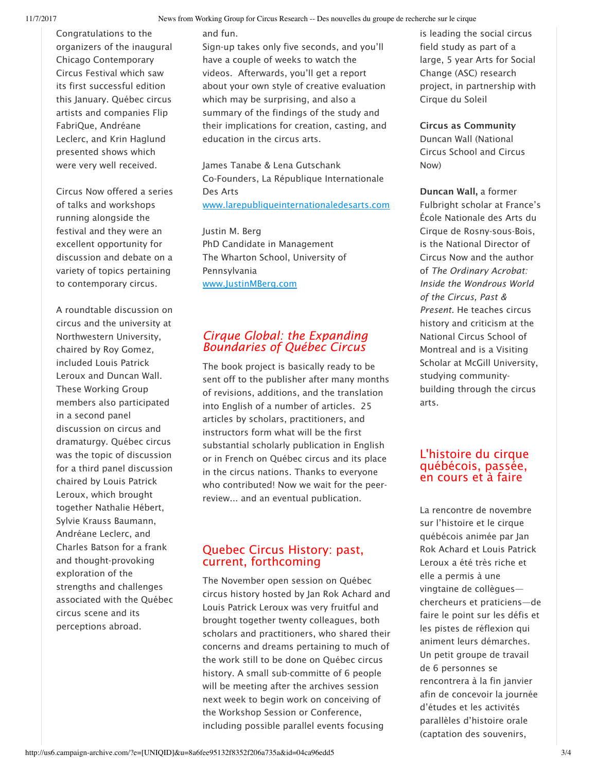Congratulations to the organizers of the inaugural Chicago Contemporary Circus Festival which saw its first successful edition this January. Québec circus artists and companies Flip FabriQue, Andréane Leclerc, and Krin Haglund presented shows which were very well received.

Circus Now offered a series of talks and workshops running alongside the festival and they were an excellent opportunity for discussion and debate on a variety of topics pertaining to contemporary circus.

A roundtable discussion on circus and the university at Northwestern University, chaired by Roy Gomez, included Louis Patrick Leroux and Duncan Wall. These Working Group members also participated in a second panel discussion on circus and dramaturgy. Québec circus was the topic of discussion for a third panel discussion chaired by Louis Patrick Leroux, which brought together Nathalie Hébert, Sylvie Krauss Baumann, Andréane Leclerc, and Charles Batson for a frank and thought-provoking exploration of the strengths and challenges associated with the Québec circus scene and its perceptions abroad.

and fun.

Sign-up takes only five seconds, and you'll have a couple of weeks to watch the videos. Afterwards, you'll get a report about your own style of creative evaluation which may be surprising, and also a summary of the findings of the study and their implications for creation, casting, and education in the circus arts.

James Tanabe & Lena Gutschank Co-Founders, La République Internationale Des Arts www.larepubliqueinternationaledesarts.com

Justin M. Berg PhD Candidate in Management The Wharton School, University of Pennsylvania www.JustinMBerg.com

#### *Cirque Global: the Expanding Boundaries of Québec Circus*

The book project is basically ready to be sent off to the publisher after many months of revisions, additions, and the translation into English of a number of articles. 25 articles by scholars, practitioners, and instructors form what will be the first substantial scholarly publication in English or in French on Québec circus and its place in the circus nations. Thanks to everyone who contributed! Now we wait for the peerreview... and an eventual publication.

#### Quebec Circus History: past, current, forthcoming

The November open session on Québec circus history hosted by Jan Rok Achard and Louis Patrick Leroux was very fruitful and brought together twenty colleagues, both scholars and practitioners, who shared their concerns and dreams pertaining to much of the work still to be done on Québec circus history. A small sub-committe of 6 people will be meeting after the archives session next week to begin work on conceiving of the Workshop Session or Conference, including possible parallel events focusing

is leading the social circus field study as part of a large, 5 year Arts for Social Change (ASC) research project, in partnership with Cirque du Soleil

Circus as Community Duncan Wall (National Circus School and Circus Now)

Duncan Wall, a former Fulbright scholar at France's École Nationale des Arts du Cirque de Rosny-sous-Bois, is the National Director of Circus Now and the author of *The Ordinary Acrobat: Inside the Wondrous World of the Circus, Past & Present*. He teaches circus history and criticism at the National Circus School of Montreal and is a Visiting Scholar at McGill University, studying communitybuilding through the circus arts.

### L'histoire du cirque québécois, passée, en cours et à faire

La rencontre de novembre sur l'histoire et le cirque québécois animée par Jan Rok Achard et Louis Patrick Leroux a été très riche et elle a permis à une vingtaine de collègues chercheurs et praticiens—de faire le point sur les défis et les pistes de réflexion qui animent leurs démarches. Un petit groupe de travail de 6 personnes se rencontrera à la fin janvier afin de concevoir la journée d'études et les activités parallèles d'histoire orale (captation des souvenirs,